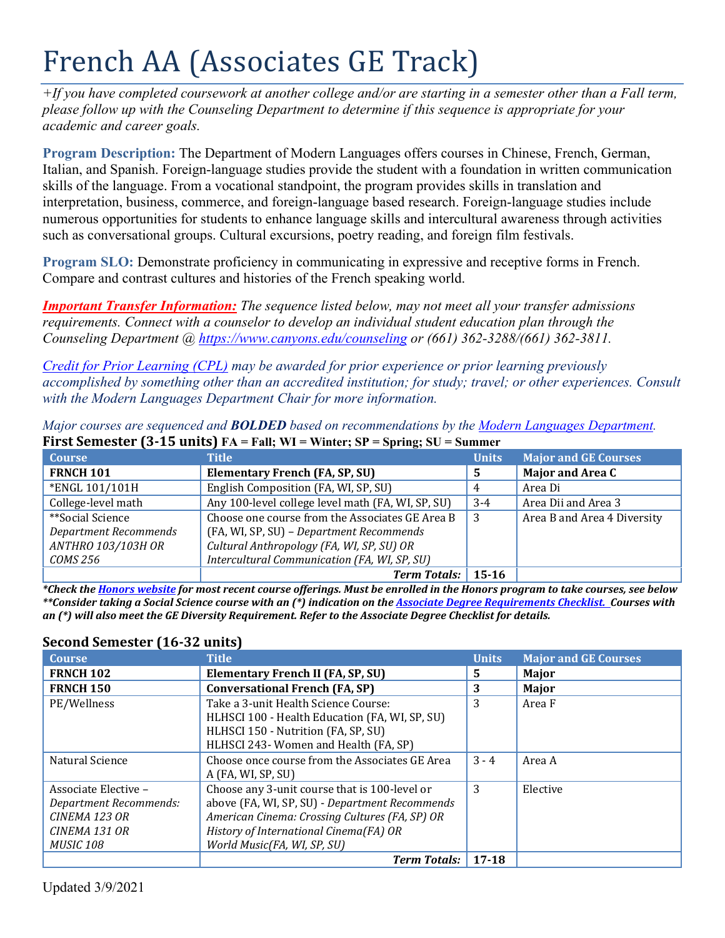# French AA (Associates GE Track)

*+If you have completed coursework at another college and/or are starting in a semester other than a Fall term, please follow up with the Counseling Department to determine if this sequence is appropriate for your academic and career goals.* 

**Program Description:** The Department of Modern Languages offers courses in Chinese, French, German, Italian, and Spanish. Foreign-language studies provide the student with a foundation in written communication skills of the language. From a vocational standpoint, the program provides skills in translation and interpretation, business, commerce, and foreign-language based research. Foreign-language studies include numerous opportunities for students to enhance language skills and intercultural awareness through activities such as conversational groups. Cultural excursions, poetry reading, and foreign film festivals.

**Program SLO:** Demonstrate proficiency in communicating in expressive and receptive forms in French. Compare and contrast cultures and histories of the French speaking world.

*Important Transfer Information: The sequence listed below, may not meet all your transfer admissions requirements. Connect with a counselor to develop an individual student education plan through the Counseling Department @<https://www.canyons.edu/counseling> or (661) 362-3288/(661) 362-3811.*

*[Credit for Prior Learning \(CPL\)](https://www.canyons.edu/studentservices/admissions/records/credit-by-exam.php) may be awarded for prior experience or prior learning previously accomplished by something other than an accredited institution; for study; travel; or other experiences. Consult with the Modern Languages Department Chair for more information.* 

| First Semester $(3-15 \text{ units})$ FA = Fall; WI = Winter; SP = Spring; SU = Summer |              |                             |  |
|----------------------------------------------------------------------------------------|--------------|-----------------------------|--|
| Title '                                                                                | <b>Units</b> | <b>Major and GE Courses</b> |  |
| Elementary French (FA, SP, SU)                                                         | -5           | <b>Major and Area C</b>     |  |
| English Composition (FA, WI, SP, SU)                                                   | 4            | Area Di                     |  |
| Any 100-level college level math (FA, WI, SP, SU)                                      | $3-4$        | Area Dii and Area 3         |  |
|                                                                                        |              |                             |  |

3 Area B and Area 4 Diversity

Choose one course from the Associates GE Area B (FA, WI, SP, SU) – *Department Recommends Cultural Anthropology (FA, WI, SP, SU) OR Intercultural Communication (FA, WI, SP, SU)* 

*Major courses are sequenced and BOLDED based on recommendations by the [Modern Languages Department.](https://www.canyons.edu/academics/languages/index.php)* 

*Term Totals:* **15-16** *\*Check the [Honors website](https://www.canyons.edu/academics/honors/index.php) for most recent course offerings. Must be enrolled in the Honors program to take courses, see below \*\*Consider taking a Social Science course with an (\*) indication on th[e Associate Degree Requirements Checklist.](https://www.canyons.edu/studentservices/counseling/degrees/generaled.php) Courses with an (\*) will also meet the GE Diversity Requirement. Refer to the Associate Degree Checklist for details.* 

| <b>Course</b>          | <b>Title</b>                                   | <b>Units</b> | <b>Major and GE Courses</b> |
|------------------------|------------------------------------------------|--------------|-----------------------------|
| <b>FRNCH 102</b>       | Elementary French II (FA, SP, SU)              | 5.           | Major                       |
| <b>FRNCH 150</b>       | <b>Conversational French (FA, SP)</b>          | 3            | Major                       |
| PE/Wellness            | Take a 3-unit Health Science Course:           | 3            | Area F                      |
|                        | HLHSCI 100 - Health Education (FA, WI, SP, SU) |              |                             |
|                        | HLHSCI 150 - Nutrition (FA, SP, SU)            |              |                             |
|                        | HLHSCI 243- Women and Health (FA, SP)          |              |                             |
| Natural Science        | Choose once course from the Associates GE Area | $3 - 4$      | Area A                      |
|                        | A (FA, WI, SP, SU)                             |              |                             |
| Associate Elective -   | Choose any 3-unit course that is 100-level or  | 3            | Elective                    |
| Department Recommends: | above (FA, WI, SP, SU) - Department Recommends |              |                             |
| CINEMA 123 OR          | American Cinema: Crossing Cultures (FA, SP) OR |              |                             |
| CINEMA 131 OR          | History of International Cinema(FA) OR         |              |                             |
| <b>MUSIC 108</b>       | World Music(FA, WI, SP, SU)                    |              |                             |
|                        | <b>Term Totals:</b>                            | $17 - 18$    |                             |

# **Second Semester (16-32 units)**

\*\*Social Science

*COMS 256*

*Department Recommends ANTHRO 103/103H OR*